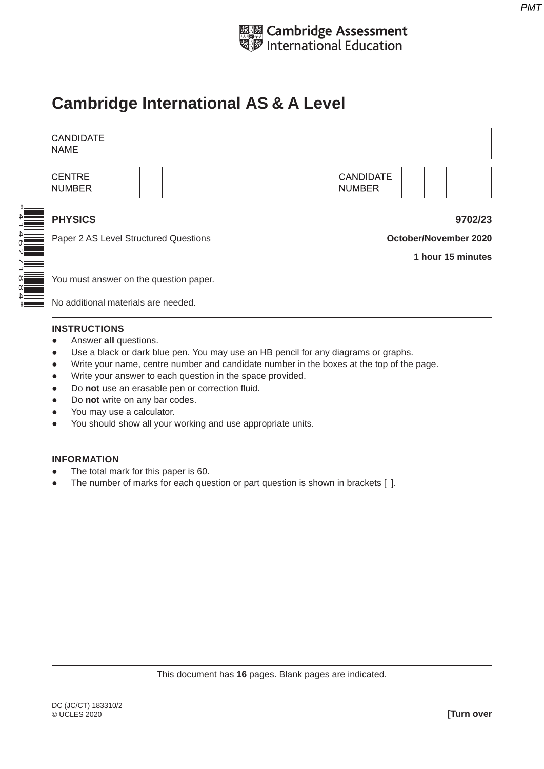

# **Cambridge International AS & A Level**

| <b>CANDIDATE</b><br>NAME       |                                        |                                   |  |
|--------------------------------|----------------------------------------|-----------------------------------|--|
| <b>CENTRE</b><br><b>NUMBER</b> |                                        | <b>CANDIDATE</b><br><b>NUMBER</b> |  |
| <b>PHYSICS</b>                 |                                        | 9702/23                           |  |
|                                | Paper 2 AS Level Structured Questions  | <b>October/November 2020</b>      |  |
|                                |                                        | 1 hour 15 minutes                 |  |
|                                | You must answer on the question paper. |                                   |  |
|                                | No additional materials are needed     |                                   |  |

No additional materials are needed.

### **INSTRUCTIONS**

- **•** Answer all questions.
- Use a black or dark blue pen. You may use an HB pencil for any diagrams or graphs.
- Write your name, centre number and candidate number in the boxes at the top of the page.
- Write your answer to each question in the space provided.
- Do **not** use an erasable pen or correction fluid.
- Do **not** write on any bar codes.
- You may use a calculator.
- You should show all your working and use appropriate units.

#### **INFORMATION**

- The total mark for this paper is 60.
- The number of marks for each question or part question is shown in brackets [ ].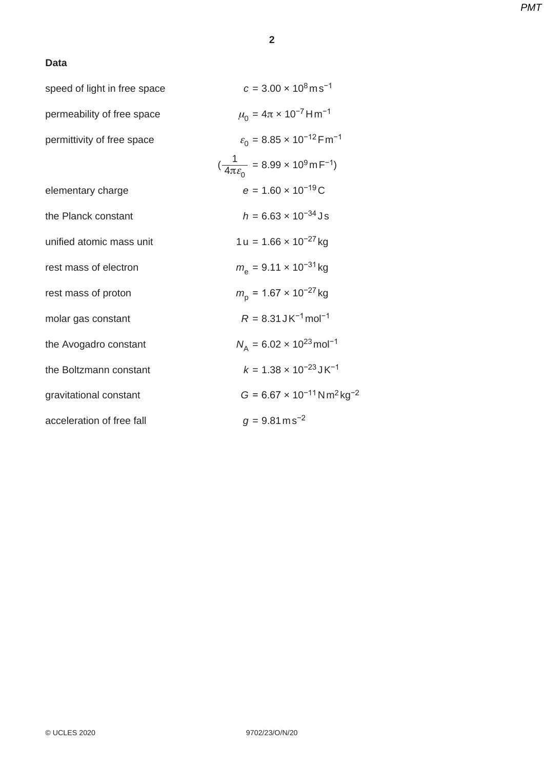## **Data**

| speed of light in free space | $c = 3.00 \times 10^8 \text{ms}^{-1}$                                |
|------------------------------|----------------------------------------------------------------------|
| permeability of free space   | $\mu_0 = 4\pi \times 10^{-7}$ H m <sup>-1</sup>                      |
| permittivity of free space   | $\varepsilon_0$ = 8.85 × 10 <sup>-12</sup> Fm <sup>-1</sup>          |
|                              | $(\frac{1}{4\pi \varepsilon_0} = 8.99 \times 10^9 \text{ m F}^{-1})$ |
| elementary charge            | $e = 1.60 \times 10^{-19}$ C                                         |
| the Planck constant          | $h = 6.63 \times 10^{-34}$ Js                                        |
| unified atomic mass unit     | $1 u = 1.66 \times 10^{-27}$ kg                                      |
| rest mass of electron        | $m_e$ = 9.11 x 10 <sup>-31</sup> kg                                  |
| rest mass of proton          | $m_{\rm p}$ = 1.67 × 10 <sup>-27</sup> kg                            |
| molar gas constant           | $R = 8.31$ JK <sup>-1</sup> mol <sup>-1</sup>                        |
| the Avogadro constant        | $N_A = 6.02 \times 10^{23}$ mol <sup>-1</sup>                        |
| the Boltzmann constant       | $k = 1.38 \times 10^{-23}$ JK <sup>-1</sup>                          |
| gravitational constant       | $G = 6.67 \times 10^{-11}$ N m <sup>2</sup> kg <sup>-2</sup>         |
| acceleration of free fall    | $g = 9.81 \text{ m s}^{-2}$                                          |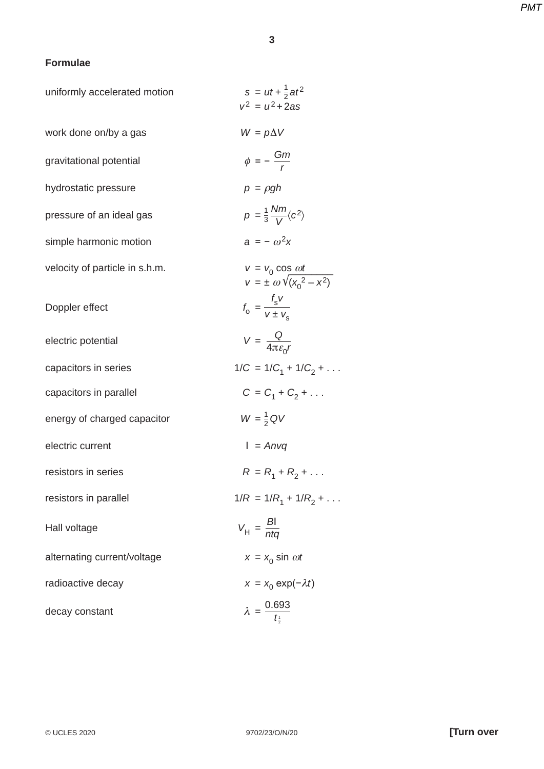# **3**

# **Formulae**

| uniformly accelerated motion   | $s = ut + \frac{1}{2}at^2$<br>$v^2 = u^2 + 2as$                  |
|--------------------------------|------------------------------------------------------------------|
| work done on/by a gas          | $W = p\Delta V$                                                  |
| gravitational potential        | $\phi = -\frac{Gm}{r}$                                           |
| hydrostatic pressure           | $p = \rho gh$                                                    |
| pressure of an ideal gas       | $p = \frac{1}{3} \frac{Nm}{V} \langle c^2 \rangle$               |
| simple harmonic motion         | $a = -\omega^2 x$                                                |
| velocity of particle in s.h.m. | $v = v_0 \cos \omega t$<br>$v = \pm \omega \sqrt{(x_0^2 - x^2)}$ |
| Doppler effect                 | $f_0 = \frac{f_{\rm s}v}{v + v}$                                 |
| electric potential             | $V = \frac{Q}{4\pi \varepsilon_0 r}$                             |
| capacitors in series           | $1/C = 1/C_1 + 1/C_2 + \dots$                                    |
| capacitors in parallel         | $C = C_1 + C_2 + $                                               |
| energy of charged capacitor    | $W = \frac{1}{2} QV$                                             |
| electric current               | $l = Anvq$                                                       |
| resistors in series            | $R = R_1 + R_2 + $                                               |
| resistors in parallel          | $1/R = 1/R_1 + 1/R_2 + \dots$                                    |
| Hall voltage                   | $V_{\rm H} = \frac{BI}{nta}$                                     |
| alternating current/voltage    | $x = x_0 \sin \omega t$                                          |
| radioactive decay              | $x = x_0 \exp(-\lambda t)$                                       |
| decay constant                 | $\lambda = \frac{0.693}{t_{\frac{1}{2}}}$                        |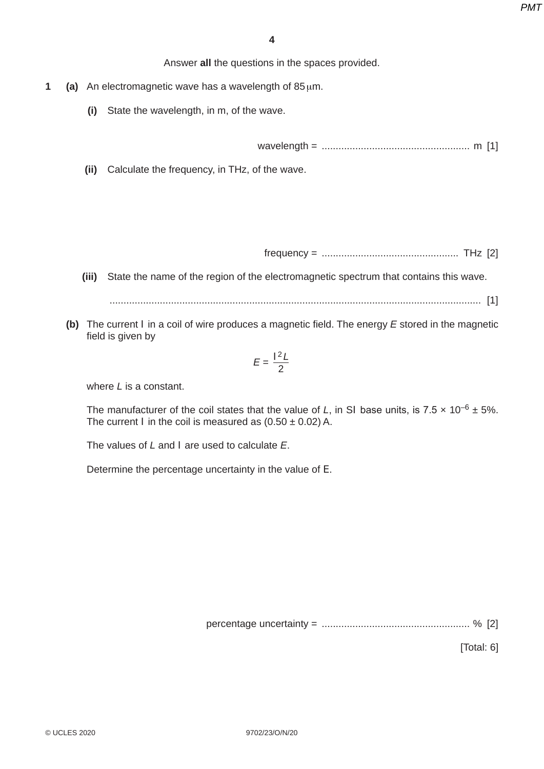Answer **all** the questions in the spaces provided.

- **1 (a)** An electromagnetic wave has a wavelength of 85 μm.
	- **(i)** State the wavelength, in m, of the wave.

wavelength = ..................................................... m [1]

 **(ii)** Calculate the frequency, in THz, of the wave.

frequency = ................................................. THz [2]

 **(iii)** State the name of the region of the electromagnetic spectrum that contains this wave.

..................................................................................................................................... [1]

 **(b)** The current *I* in a coil of wire produces a magnetic field. The energy *E* stored in the magnetic field is given by

$$
E = \frac{I^2 L}{2}
$$

where *L* is a constant.

The manufacturer of the coil states that the value of *L*, in SI base units, is 7.5  $\times$  10<sup>-6</sup> ± 5%. The current *I* in the coil is measured as  $(0.50 \pm 0.02)$  A.

The values of *L* and *I* are used to calculate *E*.

Determine the percentage uncertainty in the value of *E*.

percentage uncertainty = ..................................................... % [2]

[Total: 6]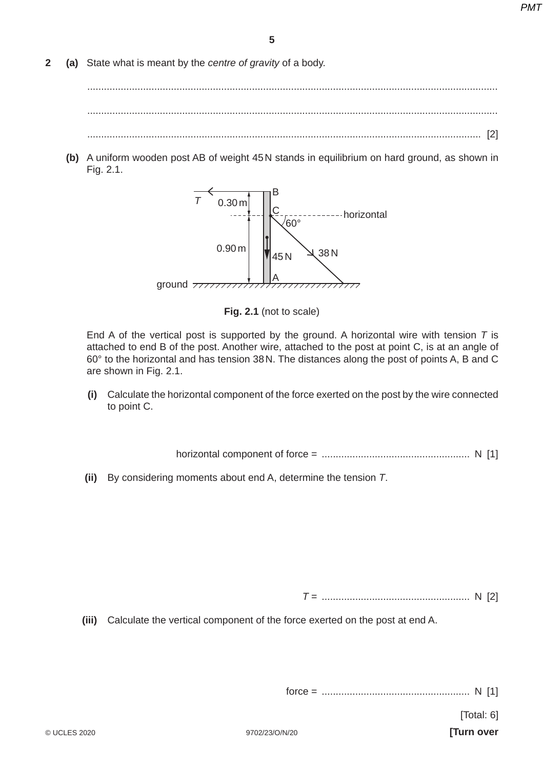**2 (a)** State what is meant by the *centre of gravity* of a body.

 ................................................................................................................................................... ................................................................................................................................................... ............................................................................................................................................. [2]

 **(b)** A uniform wooden post AB of weight 45 N stands in equilibrium on hard ground, as shown in Fig. 2.1.



**Fig. 2.1** (not to scale)

End A of the vertical post is supported by the ground. A horizontal wire with tension *T* is attached to end B of the post. Another wire, attached to the post at point C, is at an angle of 60° to the horizontal and has tension 38 N. The distances along the post of points A, B and C are shown in Fig. 2.1.

 **(i)** Calculate the horizontal component of the force exerted on the post by the wire connected to point C.

horizontal component of force = ..................................................... N [1]

 **(ii)** By considering moments about end A, determine the tension *T*.

*T* = ..................................................... N [2]

 **(iii)** Calculate the vertical component of the force exerted on the post at end A.

force = ..................................................... N [1]

[Total: 6]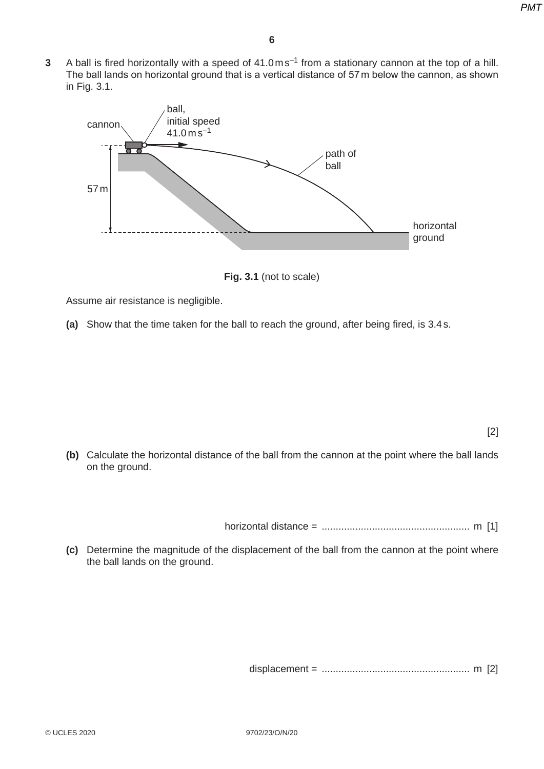**3** A ball is fired horizontally with a speed of 41.0 ms<sup>-1</sup> from a stationary cannon at the top of a hill. The ball lands on horizontal ground that is a vertical distance of 57 m below the cannon, as shown in Fig. 3.1.



**Fig. 3.1** (not to scale)

Assume air resistance is negligible.

 **(a)** Show that the time taken for the ball to reach the ground, after being fired, is 3.4 s.

[2]

 **(b)** Calculate the horizontal distance of the ball from the cannon at the point where the ball lands on the ground.

horizontal distance = ..................................................... m [1]

 **(c)** Determine the magnitude of the displacement of the ball from the cannon at the point where the ball lands on the ground.

displacement = ..................................................... m [2]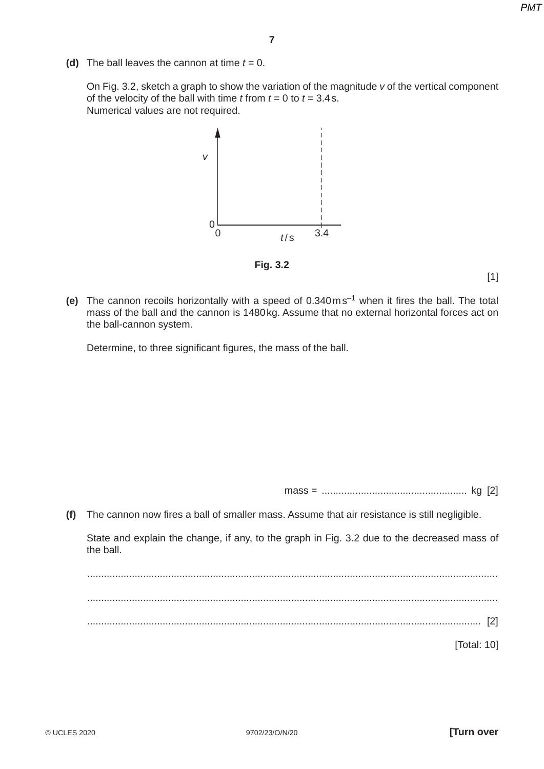**(d)** The ball leaves the cannon at time  $t = 0$ .

On Fig. 3.2, sketch a graph to show the variation of the magnitude *v* of the vertical component of the velocity of the ball with time  $t$  from  $t = 0$  to  $t = 3.4$  s. Numerical values are not required.



**Fig. 3.2**

 $[1]$ 

 **(e)** The cannon recoils horizontally with a speed of 0.340 m s–1 when it fires the ball. The total mass of the ball and the cannon is 1480 kg. Assume that no external horizontal forces act on the ball-cannon system.

Determine, to three significant figures, the mass of the ball.

mass = .................................................... kg [2]

 **(f)** The cannon now fires a ball of smaller mass. Assume that air resistance is still negligible.

State and explain the change, if any, to the graph in Fig. 3.2 due to the decreased mass of the ball.

 ................................................................................................................................................... ................................................................................................................................................... ............................................................................................................................................. [2]

[Total: 10]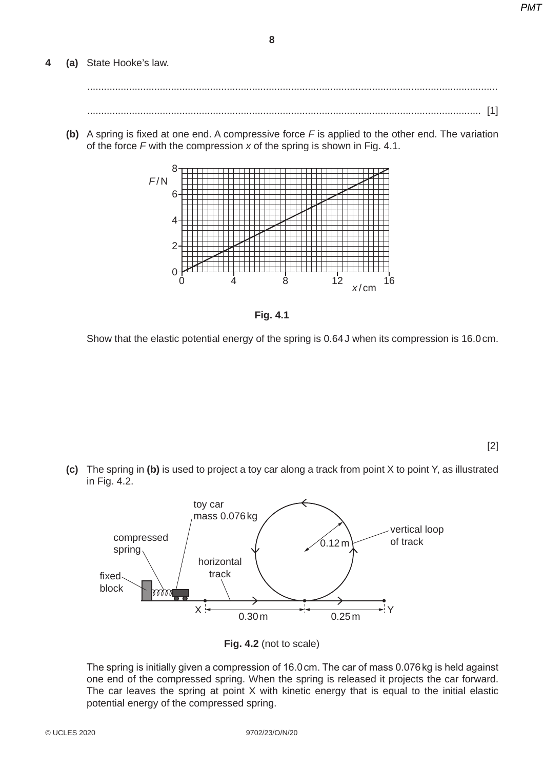**8**

## **4 (a)** State Hooke's law.

 ................................................................................................................................................... ............................................................................................................................................. [1]

 **(b)** A spring is fixed at one end. A compressive force *F* is applied to the other end. The variation of the force *F* with the compression *x* of the spring is shown in Fig. 4.1.





Show that the elastic potential energy of the spring is 0.64 J when its compression is 16.0 cm.

[2]

 **(c)** The spring in **(b)** is used to project a toy car along a track from point X to point Y, as illustrated in Fig. 4.2.



**Fig. 4.2** (not to scale)

The spring is initially given a compression of 16.0 cm. The car of mass 0.076 kg is held against one end of the compressed spring. When the spring is released it projects the car forward. The car leaves the spring at point X with kinetic energy that is equal to the initial elastic potential energy of the compressed spring.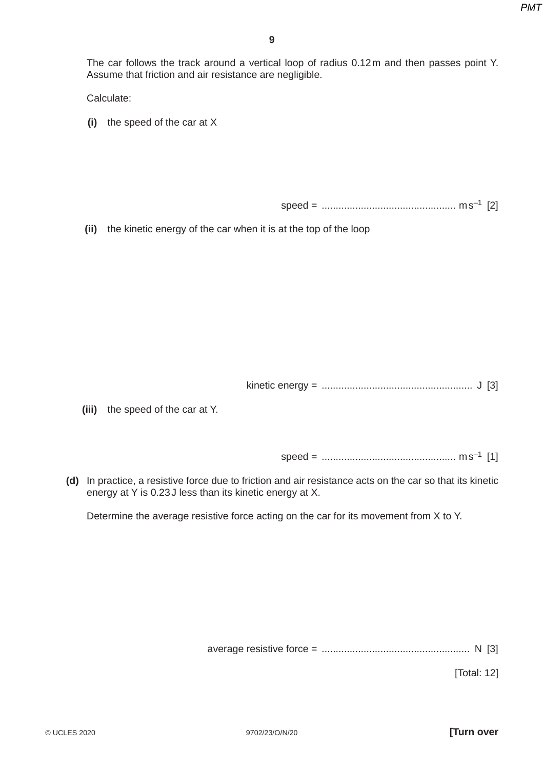The car follows the track around a vertical loop of radius 0.12 m and then passes point Y. Assume that friction and air resistance are negligible.

Calculate:

 **(i)** the speed of the car at X

speed = ................................................ m s–1 [2]

 **(ii)** the kinetic energy of the car when it is at the top of the loop

kinetic energy = ...................................................... J [3]

 **(iii)** the speed of the car at Y.

speed = ................................................ m s–1 [1]

 **(d)** In practice, a resistive force due to friction and air resistance acts on the car so that its kinetic energy at Y is 0.23 J less than its kinetic energy at X.

Determine the average resistive force acting on the car for its movement from X to Y.

average resistive force = ..................................................... N [3]

[Total: 12]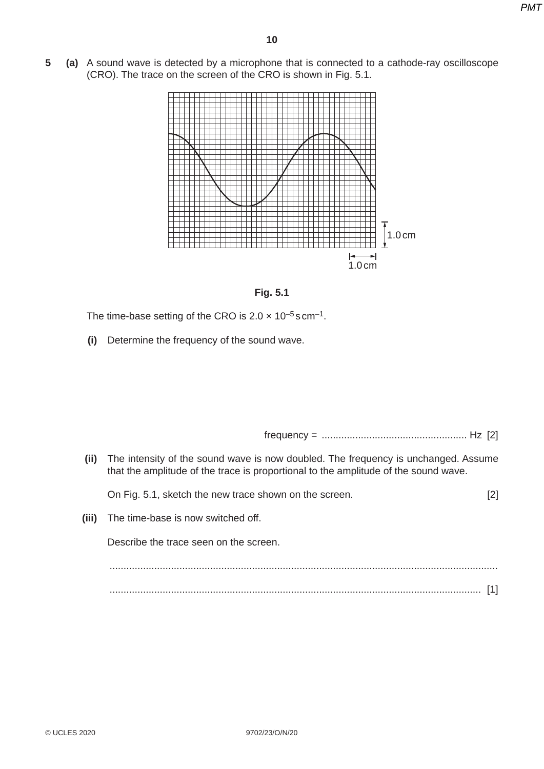**5 (a)** A sound wave is detected by a microphone that is connected to a cathode-ray oscilloscope (CRO). The trace on the screen of the CRO is shown in Fig. 5.1.





The time-base setting of the CRO is  $2.0 \times 10^{-5}$  s cm<sup>-1</sup>.

 **(i)** Determine the frequency of the sound wave.

frequency = .................................................... Hz [2]

 **(ii)** The intensity of the sound wave is now doubled. The frequency is unchanged. Assume that the amplitude of the trace is proportional to the amplitude of the sound wave.

On Fig. 5.1, sketch the new trace shown on the screen. [2]

 **(iii)** The time-base is now switched off.

Describe the trace seen on the screen.

 ........................................................................................................................................... ..................................................................................................................................... [1]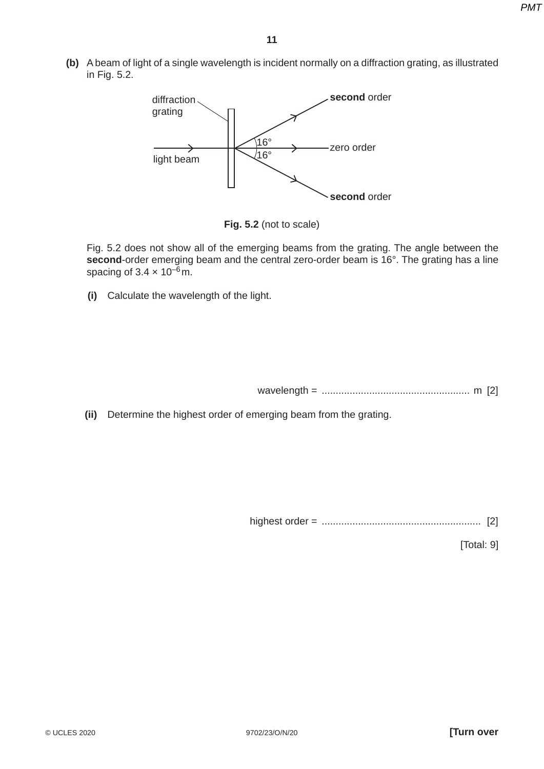**(b)** A beam of light of a single wavelength is incident normally on a diffraction grating, as illustrated in Fig. 5.2.



**Fig. 5.2** (not to scale)

Fig. 5.2 does not show all of the emerging beams from the grating. The angle between the **second**-order emerging beam and the central zero-order beam is 16°. The grating has a line spacing of  $3.4 \times 10^{-6}$  m.

 **(i)** Calculate the wavelength of the light.

wavelength = ..................................................... m [2]

 **(ii)** Determine the highest order of emerging beam from the grating.

highest order = ......................................................... [2]

[Total: 9]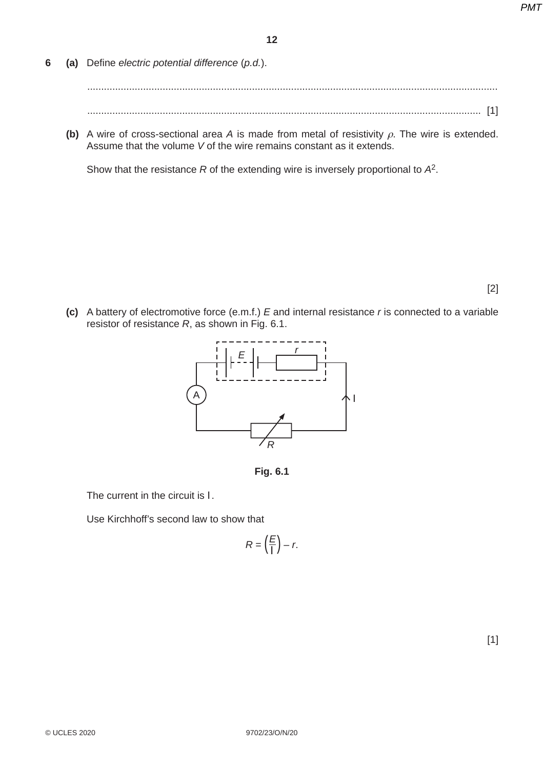**6 (a)** Define *electric potential difference* (*p.d.*).

 ................................................................................................................................................... ............................................................................................................................................. [1]

 **(b)** A wire of cross-sectional area *A* is made from metal of resistivity ρ. The wire is extended. Assume that the volume *V* of the wire remains constant as it extends.

Show that the resistance *R* of the extending wire is inversely proportional to *A*2.

[2]

 **(c)** A battery of electromotive force (e.m.f.) *E* and internal resistance *r* is connected to a variable resistor of resistance *R*, as shown in Fig. 6.1.



**Fig. 6.1**

The current in the circuit is *I*.

Use Kirchhoff's second law to show that

$$
R = \left(\frac{E}{I}\right) - r.
$$

 $[1]$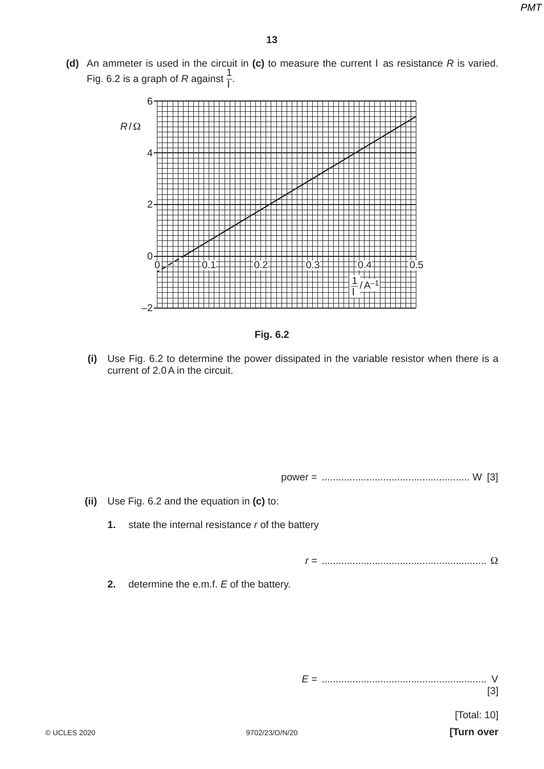**(d)** An ammeter is used in the circuit in **(c)** to measure the current *I* as resistance *R* is varied. Fig. 6.2 is a graph of *R* against  $\frac{1}{l}$ .





 **(i)** Use Fig. 6.2 to determine the power dissipated in the variable resistor when there is a current of 2.0 A in the circuit.

power = ..................................................... W [3]

 **(ii)** Use Fig. 6.2 and the equation in **(c)** to:

 **1.** state the internal resistance *r* of the battery

*r* = ........................................................... Ω

 **2.** determine the e.m.f. *E* of the battery.

*E* = ........................................................... V

[3]

[Total: 10]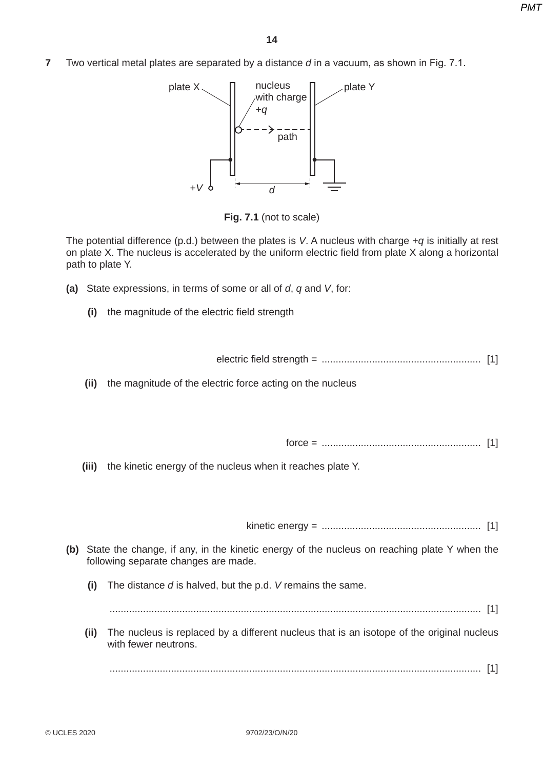**7** Two vertical metal plates are separated by a distance *d* in a vacuum, as shown in Fig. 7.1.



**Fig. 7.1** (not to scale)

The potential difference (p.d.) between the plates is *V*. A nucleus with charge +*q* is initially at rest on plate X. The nucleus is accelerated by the uniform electric field from plate X along a horizontal path to plate Y.

- **(a)** State expressions, in terms of some or all of *d*, *q* and *V*, for:
	- **(i)** the magnitude of the electric field strength

electric field strength = ......................................................... [1]

 **(ii)** the magnitude of the electric force acting on the nucleus

force = ......................................................... [1]

 **(iii)** the kinetic energy of the nucleus when it reaches plate Y.

kinetic energy = ......................................................... [1]

- **(b)** State the change, if any, in the kinetic energy of the nucleus on reaching plate Y when the following separate changes are made.
	- **(i)** The distance *d* is halved, but the p.d. *V* remains the same.

..................................................................................................................................... [1]

 **(ii)** The nucleus is replaced by a different nucleus that is an isotope of the original nucleus with fewer neutrons.

..................................................................................................................................... [1]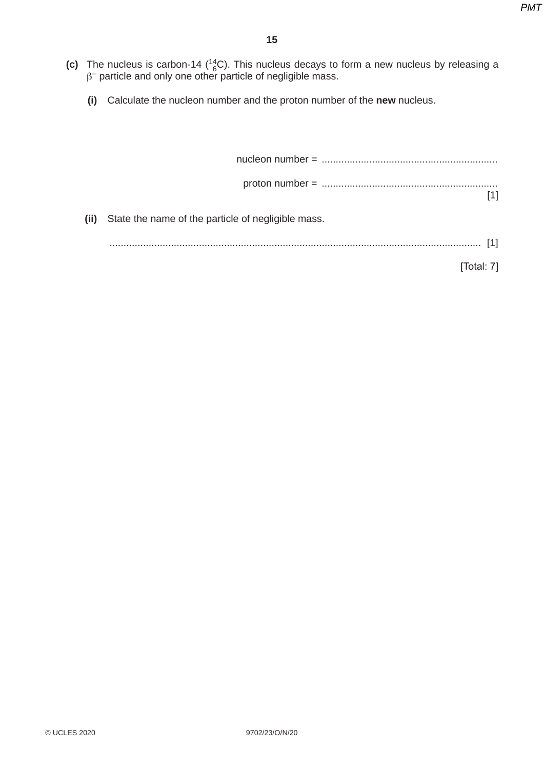- (c) The nucleus is carbon-14  $\binom{14}{6}$ C). This nucleus decays to form a new nucleus by releasing a  $\beta^-$  particle and only one other particle of negligible mass.
	- **(i)** Calculate the nucleon number and the proton number of the **new** nucleus.

|  | (ii) State the name of the particle of negligible mass. |  |
|--|---------------------------------------------------------|--|
|  |                                                         |  |

[Total: 7]